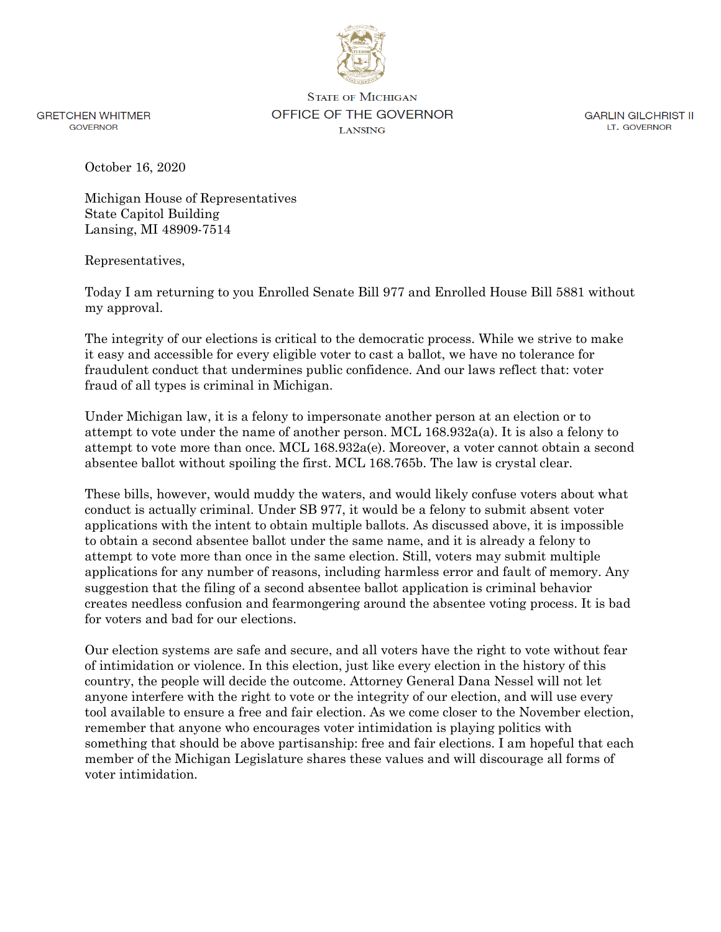

**GRETCHEN WHITMER GOVERNOR** 

**STATE OF MICHIGAN** OFFICE OF THE GOVERNOR **LANSING** 

**GARLIN GILCHRIST II** LT. GOVERNOR

October 16, 2020

Michigan House of Representatives State Capitol Building Lansing, MI 48909-7514

Representatives,

Today I am returning to you Enrolled Senate Bill 977 and Enrolled House Bill 5881 without my approval.

The integrity of our elections is critical to the democratic process. While we strive to make it easy and accessible for every eligible voter to cast a ballot, we have no tolerance for fraudulent conduct that undermines public confidence. And our laws reflect that: voter fraud of all types is criminal in Michigan.

Under Michigan law, it is a felony to impersonate another person at an election or to attempt to vote under the name of another person. MCL 168.932a(a). It is also a felony to attempt to vote more than once. MCL 168.932a(e). Moreover, a voter cannot obtain a second absentee ballot without spoiling the first. MCL 168.765b. The law is crystal clear.

These bills, however, would muddy the waters, and would likely confuse voters about what conduct is actually criminal. Under SB 977, it would be a felony to submit absent voter applications with the intent to obtain multiple ballots. As discussed above, it is impossible to obtain a second absentee ballot under the same name, and it is already a felony to attempt to vote more than once in the same election. Still, voters may submit multiple applications for any number of reasons, including harmless error and fault of memory. Any suggestion that the filing of a second absentee ballot application is criminal behavior creates needless confusion and fearmongering around the absentee voting process. It is bad for voters and bad for our elections.

Our election systems are safe and secure, and all voters have the right to vote without fear of intimidation or violence. In this election, just like every election in the history of this country, the people will decide the outcome. Attorney General Dana Nessel will not let anyone interfere with the right to vote or the integrity of our election, and will use every tool available to ensure a free and fair election. As we come closer to the November election, remember that anyone who encourages voter intimidation is playing politics with something that should be above partisanship: free and fair elections. I am hopeful that each member of the Michigan Legislature shares these values and will discourage all forms of voter intimidation.